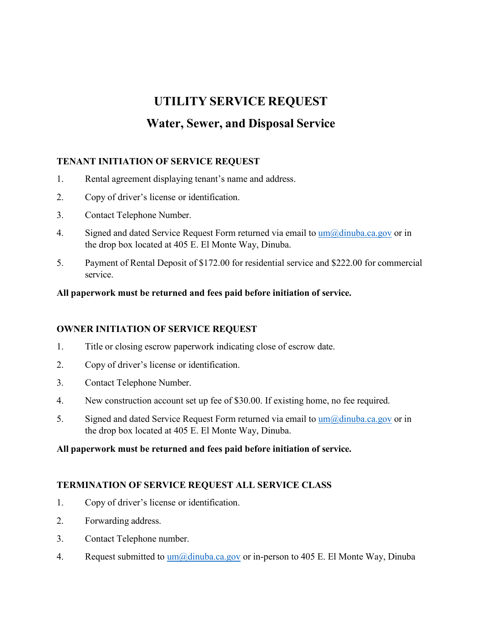# **UTILITY SERVICE REQUEST Water, Sewer, and Disposal Service**

## **TENANT INITIATION OF SERVICE REQUEST**

- 1. Rental agreement displaying tenant's name and address.
- 2. Copy of driver's license or identification.
- 3. Contact Telephone Number.
- 4. Signed and dated Service Request Form returned via email to  $um(\omega)$ dinuba.ca.gov or in the drop box located at 405 E. El Monte Way, Dinuba.
- 5. Payment of Rental Deposit of \$172.00 for residential service and \$222.00 for commercial service.

#### **All paperwork must be returned and fees paid before initiation of service.**

### **OWNER INITIATION OF SERVICE REQUEST**

- 1. Title or closing escrow paperwork indicating close of escrow date.
- 2. Copy of driver's license or identification.
- 3. Contact Telephone Number.
- 4. New construction account set up fee of \$30.00. If existing home, no fee required.
- 5. Signed and dated Service Request Form returned via email to  $\mu$ m $\omega$ dinuba.ca.gov or in the drop box located at 405 E. El Monte Way, Dinuba.

### **All paperwork must be returned and fees paid before initiation of service.**

### **TERMINATION OF SERVICE REQUEST ALL SERVICE CLASS**

- 1. Copy of driver's license or identification.
- 2. Forwarding address.
- 3. Contact Telephone number.
- 4. Request submitted to  $um(\partial \phi)$  dinuba.ca.gov or in-person to 405 E. El Monte Way, Dinuba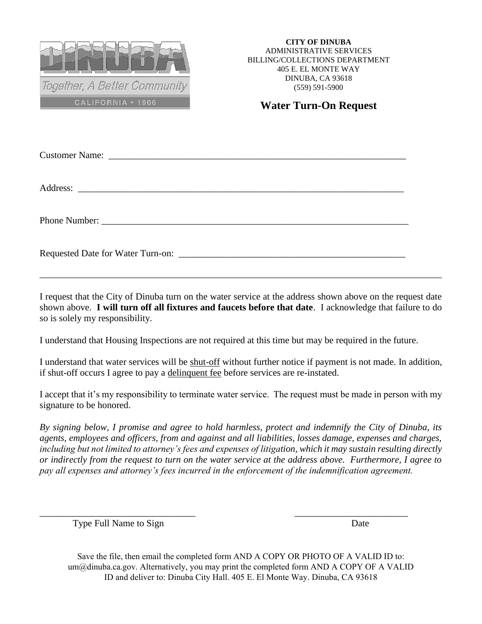

**CITY OF DINUBA** ADMINISTRATIVE SERVICES BILLING/COLLECTIONS DEPARTMENT 405 E. EL MONTE WAY DINUBA, CA 93618 (559) 591-5900

## **Water Turn-On Request**

I request that the City of Dinuba turn on the water service at the address shown above on the request date shown above. **I will turn off all fixtures and faucets before that date**. I acknowledge that failure to do so is solely my responsibility.

I understand that Housing Inspections are not required at this time but may be required in the future.

I understand that water services will be shut-off without further notice if payment is not made. In addition, if shut-off occurs I agree to pay a delinquent fee before services are re-instated.

I accept that it's my responsibility to terminate water service. The request must be made in person with my signature to be honored.

*By signing below, I promise and agree to hold harmless, protect and indemnify the City of Dinuba, its agents, employees and officers, from and against and all liabilities, losses damage, expenses and charges, including but not limited to attorney's fees and expenses of litigation, which it may sustain resulting directly or indirectly from the request to turn on the water service at the address above. Furthermore, I agree to pay all expenses and attorney's fees incurred in the enforcement of the indemnification agreement.* 

Type Full Name to Sign Date

Save the file, then email the completed form AND A COPY OR PHOTO OF A VALID ID to: um@dinuba.ca.gov. Alternatively, you may print the completed form AND A COPY OF A VALID ID and deliver to: Dinuba City Hall. 405 E. El Monte Way. Dinuba, CA 93618

 $\overline{\phantom{a}}$  , and the contract of the contract of the contract of the contract of the contract of the contract of the contract of the contract of the contract of the contract of the contract of the contract of the contrac